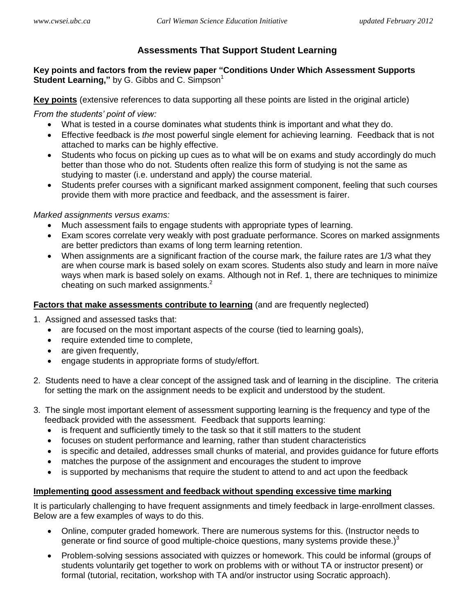# <span id="page-0-0"></span>**Assessments That Support Student Learning**

**Key points and factors from the review paper "Conditions Under Which Assessment Supports Student Learning,"** by G. Gibbs and C. Simpson<sup>1</sup>

**Key points** (extensive references to data supporting all these points are listed in the original article)

*From the students' point of view:*

- What is tested in a course dominates what students think is important and what they do.
- Effective feedback is *the* most powerful single element for achieving learning. Feedback that is not attached to marks can be highly effective.
- Students who focus on picking up cues as to what will be on exams and study accordingly do much better than those who do not. Students often realize this form of studying is not the same as studying to master (i.e. understand and apply) the course material.
- Students prefer courses with a significant marked assignment component, feeling that such courses provide them with more practice and feedback, and the assessment is fairer.

## *Marked assignments versus exams:*

- Much assessment fails to engage students with appropriate types of learning.
- Exam scores correlate very weakly with post graduate performance. Scores on marked assignments are better predictors than exams of long term learning retention.
- When assignments are a significant fraction of the course mark, the failure rates are 1/3 what they are when course mark is based solely on exam scores. Students also study and learn in more naïve ways when mark is based solely on exams. Although not in Ref. 1, there are techniques to minimize cheating on such marked assignments. $2^2$

## **Factors that make assessments contribute to learning** (and are frequently neglected)

- 1. Assigned and assessed tasks that:
	- are focused on the most important aspects of the course (tied to learning goals),
	- require extended time to complete,
	- are given frequently,
	- engage students in appropriate forms of study/effort.
- 2. Students need to have a clear concept of the assigned task and of learning in the discipline. The criteria for setting the mark on the assignment needs to be explicit and understood by the student.
- 3. The single most important element of assessment supporting learning is the frequency and type of the feedback provided with the assessment. Feedback that supports learning:
	- is frequent and sufficiently timely to the task so that it still matters to the student
	- focuses on student performance and learning, rather than student characteristics
	- is specific and detailed, addresses small chunks of material, and provides guidance for future efforts
	- matches the purpose of the assignment and encourages the student to improve
	- is supported by mechanisms that require the student to attend to and act upon the feedback

## **Implementing good assessment and feedback without spending excessive time marking**

It is particularly challenging to have frequent assignments and timely feedback in large-enrollment classes. Below are a few examples of ways to do this.

- Online, computer graded homework. There are numerous systems for this. (Instructor needs to generate or find source of good multiple-choice questions, many systems provide these.) $3$
- Problem-solving sessions associated with quizzes or homework. This could be informal (groups of students voluntarily get together to work on problems with or without TA or instructor present) or formal (tutorial, recitation, workshop with TA and/or instructor using Socratic approach).